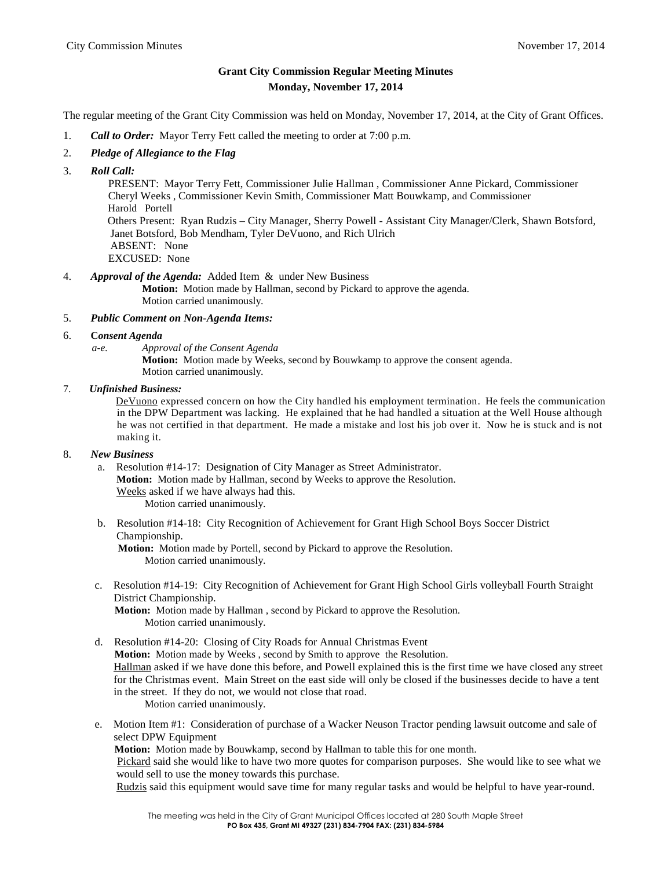## **Grant City Commission Regular Meeting Minutes Monday, November 17, 2014**

The regular meeting of the Grant City Commission was held on Monday, November 17, 2014, at the City of Grant Offices.

- 1. *Call to Order:* Mayor Terry Fett called the meeting to order at 7:00 p.m.
- 2. *Pledge of Allegiance to the Flag*
- 3. *Roll Call:*

PRESENT: Mayor Terry Fett, Commissioner Julie Hallman , Commissioner Anne Pickard, Commissioner Cheryl Weeks , Commissioner Kevin Smith, Commissioner Matt Bouwkamp, and Commissioner Harold Portell Others Present: Ryan Rudzis – City Manager, Sherry Powell - Assistant City Manager/Clerk, Shawn Botsford, Janet Botsford, Bob Mendham, Tyler DeVuono, and Rich Ulrich ABSENT: None EXCUSED: None

4. *Approval of the Agenda:* Added Item & under New Business

**Motion:** Motion made by Hallman, second by Pickard to approve the agenda. Motion carried unanimously.

- 5. *Public Comment on Non-Agenda Items:*
- 6. **C***onsent Agenda*
	- *a-e. Approval of the Consent Agenda*

**Motion:** Motion made by Weeks, second by Bouwkamp to approve the consent agenda. Motion carried unanimously.

## 7. *Unfinished Business:*

DeVuono expressed concern on how the City handled his employment termination. He feels the communication in the DPW Department was lacking. He explained that he had handled a situation at the Well House although he was not certified in that department. He made a mistake and lost his job over it. Now he is stuck and is not making it.

## 8. *New Business*

a. Resolution #14-17: Designation of City Manager as Street Administrator. **Motion:** Motion made by Hallman, second by Weeks to approve the Resolution. Weeks asked if we have always had this. Motion carried unanimously.

b. Resolution #14-18: City Recognition of Achievement for Grant High School Boys Soccer District Championship.

**Motion:** Motion made by Portell, second by Pickard to approve the Resolution. Motion carried unanimously.

c. Resolution #14-19: City Recognition of Achievement for Grant High School Girls volleyball Fourth Straight District Championship.

**Motion:** Motion made by Hallman , second by Pickard to approve the Resolution. Motion carried unanimously.

- d. Resolution #14-20: Closing of City Roads for Annual Christmas Event **Motion:** Motion made by Weeks , second by Smith to approve the Resolution. Hallman asked if we have done this before, and Powell explained this is the first time we have closed any street for the Christmas event. Main Street on the east side will only be closed if the businesses decide to have a tent in the street. If they do not, we would not close that road. Motion carried unanimously.
- e. Motion Item #1: Consideration of purchase of a Wacker Neuson Tractor pending lawsuit outcome and sale of select DPW Equipment **Motion:** Motion made by Bouwkamp, second by Hallman to table this for one month. Pickard said she would like to have two more quotes for comparison purposes. She would like to see what we would sell to use the money towards this purchase. Rudzis said this equipment would save time for many regular tasks and would be helpful to have year-round.